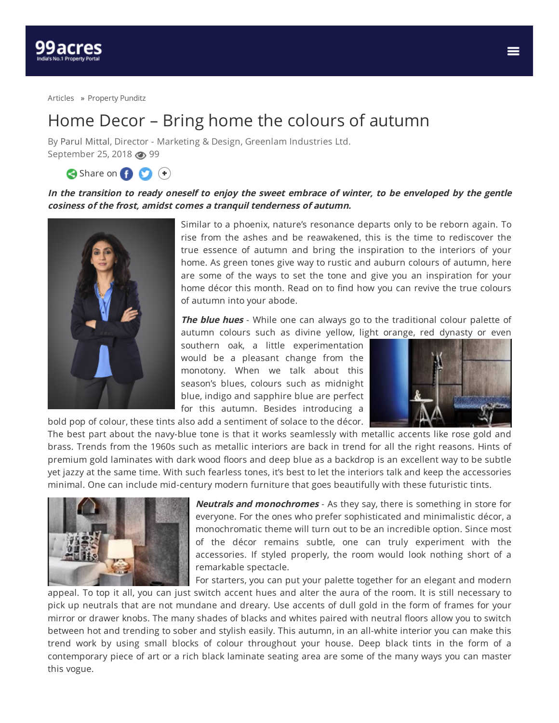

[Articles](https://www.99acres.com/articles/) » [Property](https://www.99acres.com/articles/property-punditz) Punditz

## Home Decor – Bring home the colours of autumn

By Parul [Mittal](https://www.99acres.com/articles/author/parulmittal), Director - Marketing & Design, Greenlam Industries Ltd. September 25, 2018 @ 99

Share on **O** +

In the transition to ready oneself to enjoy the sweet embrace of winter, to be enveloped by the gentle **cosiness of the frost, amidst comes <sup>a</sup> tranquil tenderness of autumn.**



Similar to a phoenix, nature's resonance departs only to be reborn again. To rise from the ashes and be reawakened, this is the time to rediscover the true essence of autumn and bring the inspiration to the interiors of your home. As green tones give way to rustic and auburn colours of autumn, here are some of the ways to set the tone and give you an inspiration for your home décor this month. Read on to find how you can revive the true colours of autumn into your abode.

**The blue hues** - While one can always go to the traditional colour palette of autumn colours such as divine yellow, light orange, red dynasty or even

southern oak, a little experimentation would be a pleasant change from the monotony. When we talk about this season's blues, colours such as midnight blue, indigo and sapphire blue are perfect for this autumn. Besides introducing a bold pop of colour, these tints also add a sentiment of solace to the décor.



The best part about the navy-blue tone is that it works seamlessly with metallic accents like rose gold and brass. Trends from the 1960s such as metallic interiors are back in trend for all the right reasons. Hints of premium gold laminates with dark wood floors and deep blue as a backdrop is an excellent way to be subtle yet jazzy at the same time. With such fearless tones, it's best to let the interiors talk and keep the accessories minimal. One can include mid-century modern furniture that goes beautifully with these futuristic tints.



**Neutrals and monochromes** - As they say, there is something in store for everyone. For the ones who prefer sophisticated and minimalistic décor, a monochromatic theme will turn out to be an incredible option. Since most of the décor remains subtle, one can truly experiment with the accessories. If styled properly, the room would look nothing short of a remarkable spectacle.

For starters, you can put your palette together for an elegant and modern

appeal. To top it all, you can just switch accent hues and alter the aura of the room. It is still necessary to pick up neutrals that are not mundane and dreary. Use accents of dull gold in the form of frames for your mirror or drawer knobs. The many shades of blacks and whites paired with neutral floors allow you to switch between hot and trending to sober and stylish easily. This autumn, in an all-white interior you can make this trend work by using small blocks of colour throughout your house. Deep black tints in the form of a contemporary piece of art or a rich black laminate seating area are some of the many ways you can master this vogue.